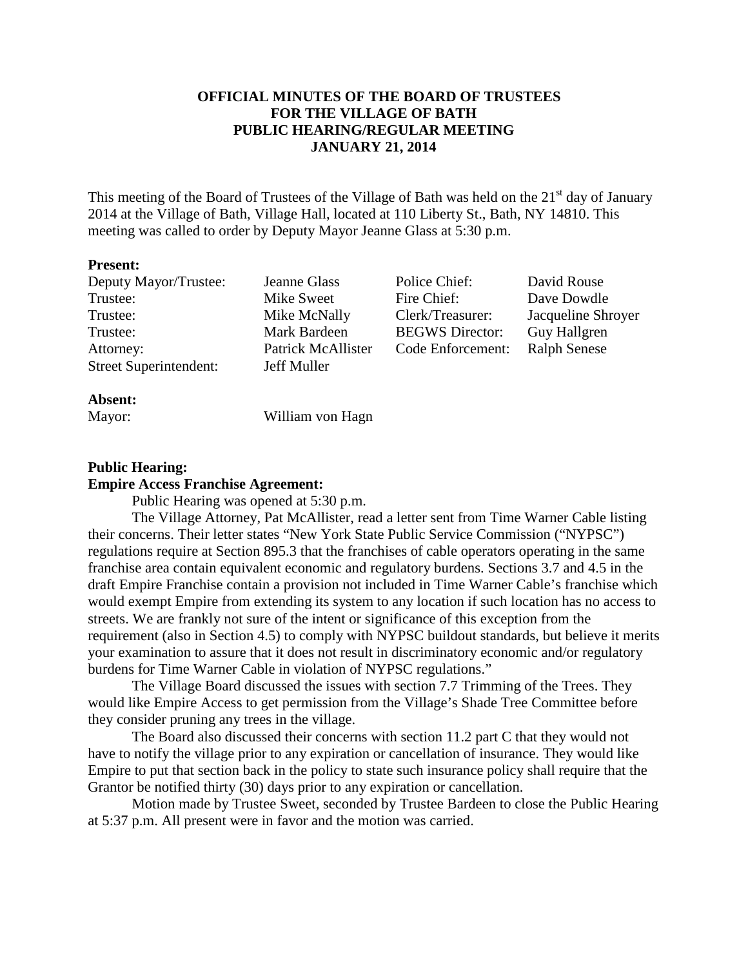# **OFFICIAL MINUTES OF THE BOARD OF TRUSTEES FOR THE VILLAGE OF BATH PUBLIC HEARING/REGULAR MEETING JANUARY 21, 2014**

This meeting of the Board of Trustees of the Village of Bath was held on the  $21<sup>st</sup>$  day of January 2014 at the Village of Bath, Village Hall, located at 110 Liberty St., Bath, NY 14810. This meeting was called to order by Deputy Mayor Jeanne Glass at 5:30 p.m.

### **Present:**

Deputy Mayor/Trustee: Jeanne Glass Police Chief: David Rouse<br>
Trustee: Mike Sweet Fire Chief: Dave Dowdle Trustee: Mike McNally Clerk/Treasurer: Jacqueline Shroyer Trustee: Mark Bardeen BEGWS Director: Guy Hallgren Attorney: Patrick McAllister Code Enforcement: Ralph Senese Street Superintendent: Jeff Muller

Mike Sweet Fire Chief: Dave Dowdle

## **Absent:**

Mayor: William von Hagn

### **Public Hearing:**

### **Empire Access Franchise Agreement:**

Public Hearing was opened at 5:30 p.m.

 The Village Attorney, Pat McAllister, read a letter sent from Time Warner Cable listing their concerns. Their letter states "New York State Public Service Commission ("NYPSC") regulations require at Section 895.3 that the franchises of cable operators operating in the same franchise area contain equivalent economic and regulatory burdens. Sections 3.7 and 4.5 in the draft Empire Franchise contain a provision not included in Time Warner Cable's franchise which would exempt Empire from extending its system to any location if such location has no access to streets. We are frankly not sure of the intent or significance of this exception from the requirement (also in Section 4.5) to comply with NYPSC buildout standards, but believe it merits your examination to assure that it does not result in discriminatory economic and/or regulatory burdens for Time Warner Cable in violation of NYPSC regulations."

 The Village Board discussed the issues with section 7.7 Trimming of the Trees. They would like Empire Access to get permission from the Village's Shade Tree Committee before they consider pruning any trees in the village.

 The Board also discussed their concerns with section 11.2 part C that they would not have to notify the village prior to any expiration or cancellation of insurance. They would like Empire to put that section back in the policy to state such insurance policy shall require that the Grantor be notified thirty (30) days prior to any expiration or cancellation.

 Motion made by Trustee Sweet, seconded by Trustee Bardeen to close the Public Hearing at 5:37 p.m. All present were in favor and the motion was carried.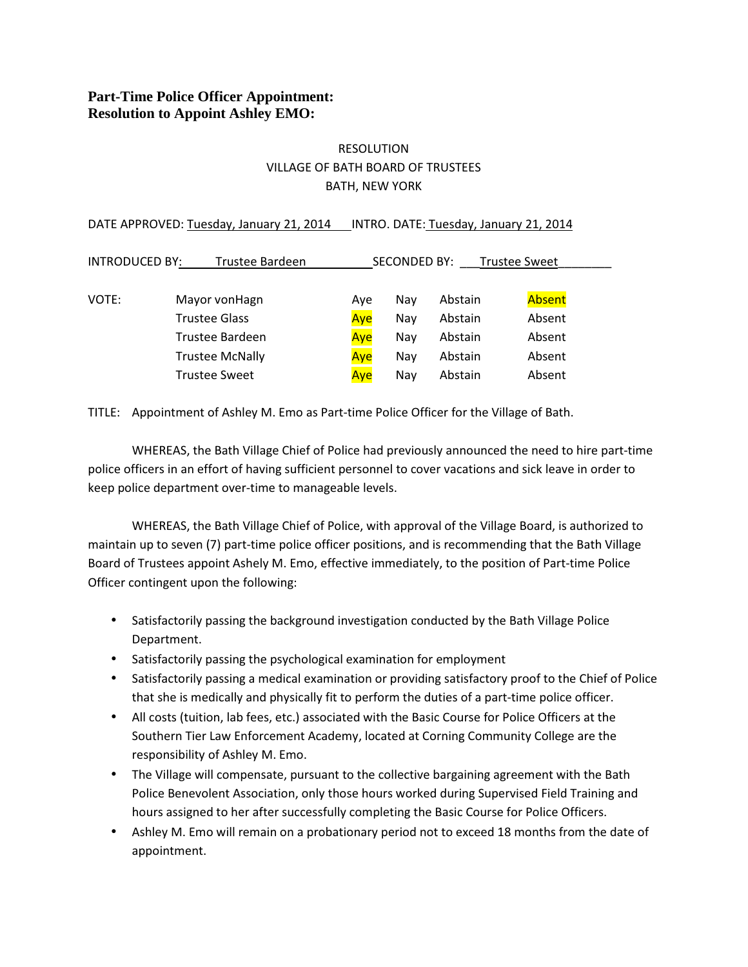# **Part-Time Police Officer Appointment: Resolution to Appoint Ashley EMO:**

# RESOLUTION VILLAGE OF BATH BOARD OF TRUSTEES BATH, NEW YORK

| DATE APPROVED: Tuesday, January 21, 2014 |                      |     | INTRO. DATE: Tuesday, January 21, 2014 |         |        |  |  |
|------------------------------------------|----------------------|-----|----------------------------------------|---------|--------|--|--|
| <b>INTRODUCED BY:</b><br>Trustee Bardeen |                      |     | SECONDED BY:<br><b>Trustee Sweet</b>   |         |        |  |  |
| VOTE:                                    | Mayor von Hagn       | Ave | Nay                                    | Abstain | Absent |  |  |
|                                          | Trustee Glass        | Aye | Nay                                    | Abstain | Absent |  |  |
|                                          | Trustee Bardeen      | Aye | Nay                                    | Abstain | Absent |  |  |
|                                          | Trustee McNally      | Aye | Nay                                    | Abstain | Absent |  |  |
|                                          | <b>Trustee Sweet</b> | Ave | Nay                                    | Abstain | Absent |  |  |

TITLE: Appointment of Ashley M. Emo as Part-time Police Officer for the Village of Bath.

 WHEREAS, the Bath Village Chief of Police had previously announced the need to hire part-time police officers in an effort of having sufficient personnel to cover vacations and sick leave in order to keep police department over-time to manageable levels.

 WHEREAS, the Bath Village Chief of Police, with approval of the Village Board, is authorized to maintain up to seven (7) part-time police officer positions, and is recommending that the Bath Village Board of Trustees appoint Ashely M. Emo, effective immediately, to the position of Part-time Police Officer contingent upon the following:

- Satisfactorily passing the background investigation conducted by the Bath Village Police Department.
- Satisfactorily passing the psychological examination for employment
- Satisfactorily passing a medical examination or providing satisfactory proof to the Chief of Police that she is medically and physically fit to perform the duties of a part-time police officer.
- All costs (tuition, lab fees, etc.) associated with the Basic Course for Police Officers at the Southern Tier Law Enforcement Academy, located at Corning Community College are the responsibility of Ashley M. Emo.
- The Village will compensate, pursuant to the collective bargaining agreement with the Bath Police Benevolent Association, only those hours worked during Supervised Field Training and hours assigned to her after successfully completing the Basic Course for Police Officers.
- Ashley M. Emo will remain on a probationary period not to exceed 18 months from the date of appointment.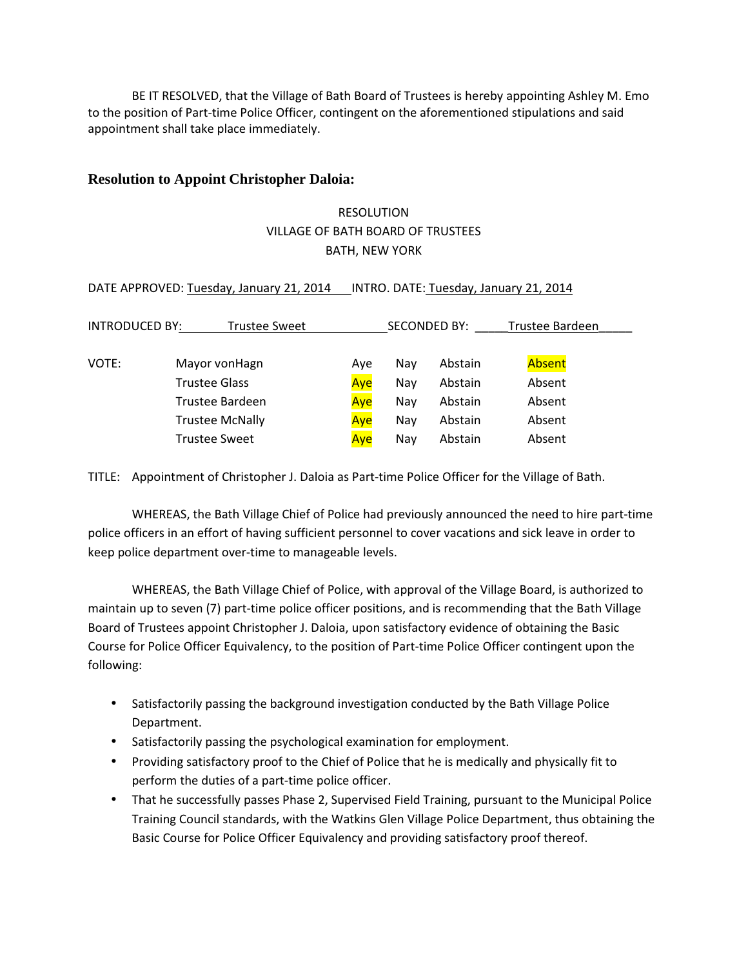BE IT RESOLVED, that the Village of Bath Board of Trustees is hereby appointing Ashley M. Emo to the position of Part-time Police Officer, contingent on the aforementioned stipulations and said appointment shall take place immediately.

## **Resolution to Appoint Christopher Daloia:**

# RESOLUTION VILLAGE OF BATH BOARD OF TRUSTEES BATH, NEW YORK

| DATE APPROVED: Tuesday, January 21, 2014 |  |  | INTRO. DATE: Tuesday, January 21, 2014 |
|------------------------------------------|--|--|----------------------------------------|
|                                          |  |  |                                        |

| <b>INTRODUCED BY:</b><br>Trustee Sweet |                        | <b>SECONDED BY:</b> |     |         | Trustee Bardeen |
|----------------------------------------|------------------------|---------------------|-----|---------|-----------------|
|                                        |                        |                     |     |         |                 |
| VOTE:                                  | Mayor von Hagn         | Ave                 | Nav | Abstain | Absent          |
|                                        | <b>Trustee Glass</b>   | Aye                 | Nay | Abstain | Absent          |
|                                        | Trustee Bardeen        | Aye                 | Nay | Abstain | Absent          |
|                                        | <b>Trustee McNally</b> | Aye                 | Nav | Abstain | Absent          |
|                                        | <b>Trustee Sweet</b>   | Aye                 | Nay | Abstain | Absent          |

TITLE: Appointment of Christopher J. Daloia as Part-time Police Officer for the Village of Bath.

 WHEREAS, the Bath Village Chief of Police had previously announced the need to hire part-time police officers in an effort of having sufficient personnel to cover vacations and sick leave in order to keep police department over-time to manageable levels.

 WHEREAS, the Bath Village Chief of Police, with approval of the Village Board, is authorized to maintain up to seven (7) part-time police officer positions, and is recommending that the Bath Village Board of Trustees appoint Christopher J. Daloia, upon satisfactory evidence of obtaining the Basic Course for Police Officer Equivalency, to the position of Part-time Police Officer contingent upon the following:

- Satisfactorily passing the background investigation conducted by the Bath Village Police Department.
- Satisfactorily passing the psychological examination for employment.
- Providing satisfactory proof to the Chief of Police that he is medically and physically fit to perform the duties of a part-time police officer.
- That he successfully passes Phase 2, Supervised Field Training, pursuant to the Municipal Police Training Council standards, with the Watkins Glen Village Police Department, thus obtaining the Basic Course for Police Officer Equivalency and providing satisfactory proof thereof.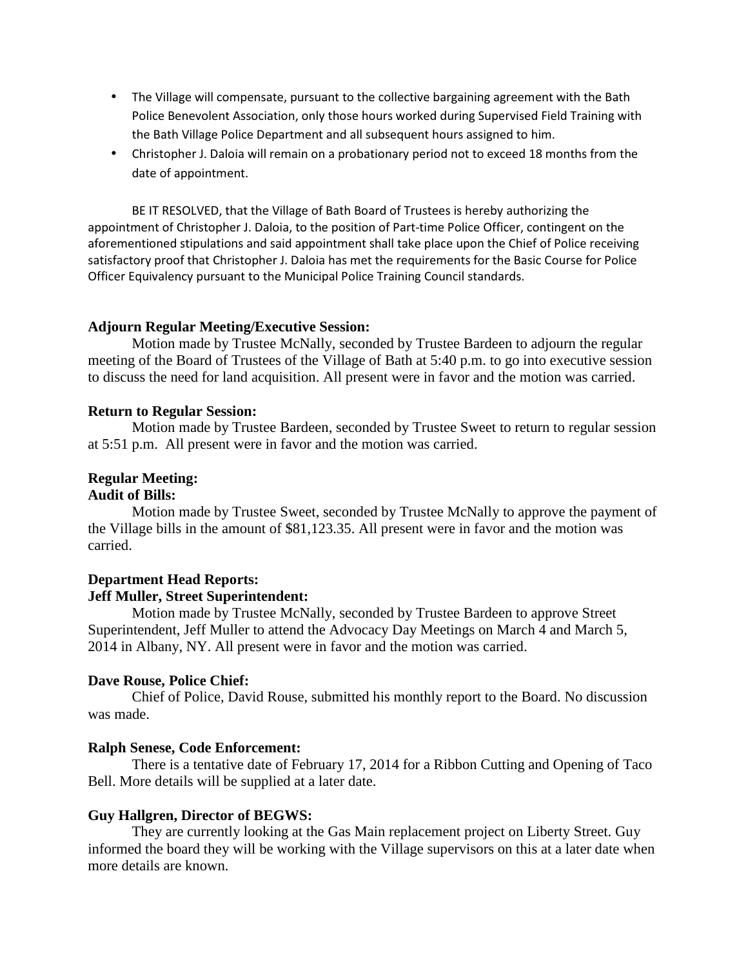- The Village will compensate, pursuant to the collective bargaining agreement with the Bath Police Benevolent Association, only those hours worked during Supervised Field Training with the Bath Village Police Department and all subsequent hours assigned to him.
- Christopher J. Daloia will remain on a probationary period not to exceed 18 months from the date of appointment.

 BE IT RESOLVED, that the Village of Bath Board of Trustees is hereby authorizing the appointment of Christopher J. Daloia, to the position of Part-time Police Officer, contingent on the aforementioned stipulations and said appointment shall take place upon the Chief of Police receiving satisfactory proof that Christopher J. Daloia has met the requirements for the Basic Course for Police Officer Equivalency pursuant to the Municipal Police Training Council standards.

## **Adjourn Regular Meeting/Executive Session:**

Motion made by Trustee McNally, seconded by Trustee Bardeen to adjourn the regular meeting of the Board of Trustees of the Village of Bath at 5:40 p.m. to go into executive session to discuss the need for land acquisition. All present were in favor and the motion was carried.

## **Return to Regular Session:**

Motion made by Trustee Bardeen, seconded by Trustee Sweet to return to regular session at 5:51 p.m. All present were in favor and the motion was carried.

# **Regular Meeting:**

## **Audit of Bills:**

Motion made by Trustee Sweet, seconded by Trustee McNally to approve the payment of the Village bills in the amount of \$81,123.35. All present were in favor and the motion was carried.

## **Department Head Reports: Jeff Muller, Street Superintendent:**

 Motion made by Trustee McNally, seconded by Trustee Bardeen to approve Street Superintendent, Jeff Muller to attend the Advocacy Day Meetings on March 4 and March 5, 2014 in Albany, NY. All present were in favor and the motion was carried.

## **Dave Rouse, Police Chief:**

Chief of Police, David Rouse, submitted his monthly report to the Board. No discussion was made.

## **Ralph Senese, Code Enforcement:**

There is a tentative date of February 17, 2014 for a Ribbon Cutting and Opening of Taco Bell. More details will be supplied at a later date.

## **Guy Hallgren, Director of BEGWS:**

 They are currently looking at the Gas Main replacement project on Liberty Street. Guy informed the board they will be working with the Village supervisors on this at a later date when more details are known.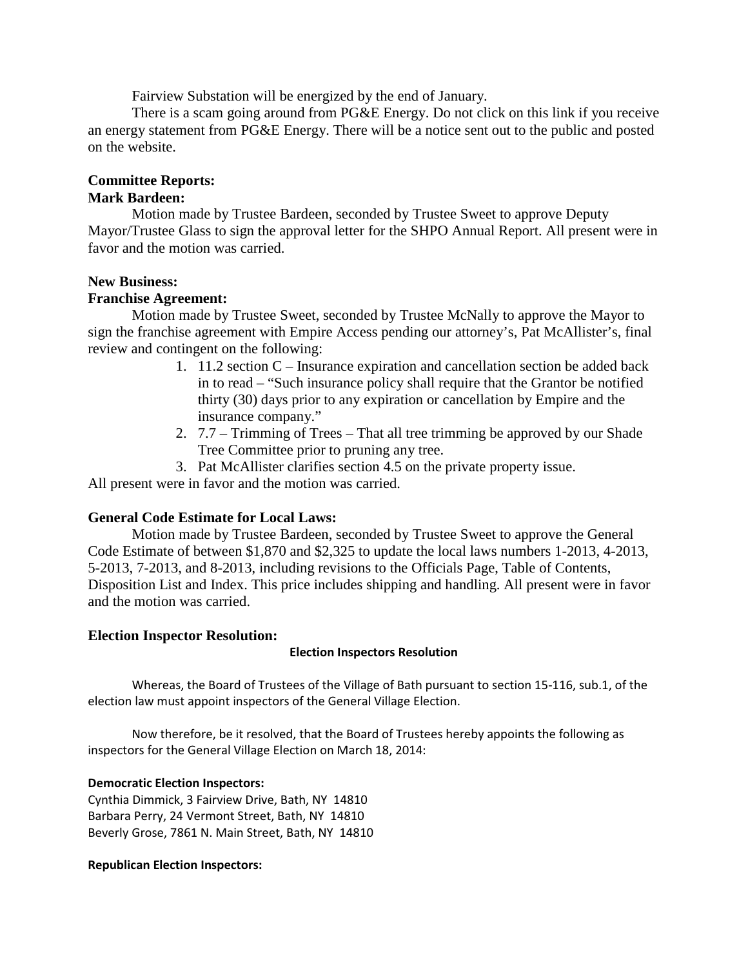Fairview Substation will be energized by the end of January.

 There is a scam going around from PG&E Energy. Do not click on this link if you receive an energy statement from PG&E Energy. There will be a notice sent out to the public and posted on the website.

# **Committee Reports:**

# **Mark Bardeen:**

 Motion made by Trustee Bardeen, seconded by Trustee Sweet to approve Deputy Mayor/Trustee Glass to sign the approval letter for the SHPO Annual Report. All present were in favor and the motion was carried.

# **New Business:**

# **Franchise Agreement:**

 Motion made by Trustee Sweet, seconded by Trustee McNally to approve the Mayor to sign the franchise agreement with Empire Access pending our attorney's, Pat McAllister's, final review and contingent on the following:

- 1. 11.2 section C Insurance expiration and cancellation section be added back in to read – "Such insurance policy shall require that the Grantor be notified thirty (30) days prior to any expiration or cancellation by Empire and the insurance company."
- 2. 7.7 Trimming of Trees That all tree trimming be approved by our Shade Tree Committee prior to pruning any tree.
- 3. Pat McAllister clarifies section 4.5 on the private property issue.

All present were in favor and the motion was carried.

# **General Code Estimate for Local Laws:**

Motion made by Trustee Bardeen, seconded by Trustee Sweet to approve the General Code Estimate of between \$1,870 and \$2,325 to update the local laws numbers 1-2013, 4-2013, 5-2013, 7-2013, and 8-2013, including revisions to the Officials Page, Table of Contents, Disposition List and Index. This price includes shipping and handling. All present were in favor and the motion was carried.

## **Election Inspector Resolution:**

## Election Inspectors Resolution

Whereas, the Board of Trustees of the Village of Bath pursuant to section 15-116, sub.1, of the election law must appoint inspectors of the General Village Election.

 Now therefore, be it resolved, that the Board of Trustees hereby appoints the following as inspectors for the General Village Election on March 18, 2014:

## Democratic Election Inspectors:

Cynthia Dimmick, 3 Fairview Drive, Bath, NY 14810 Barbara Perry, 24 Vermont Street, Bath, NY 14810 Beverly Grose, 7861 N. Main Street, Bath, NY 14810

## Republican Election Inspectors: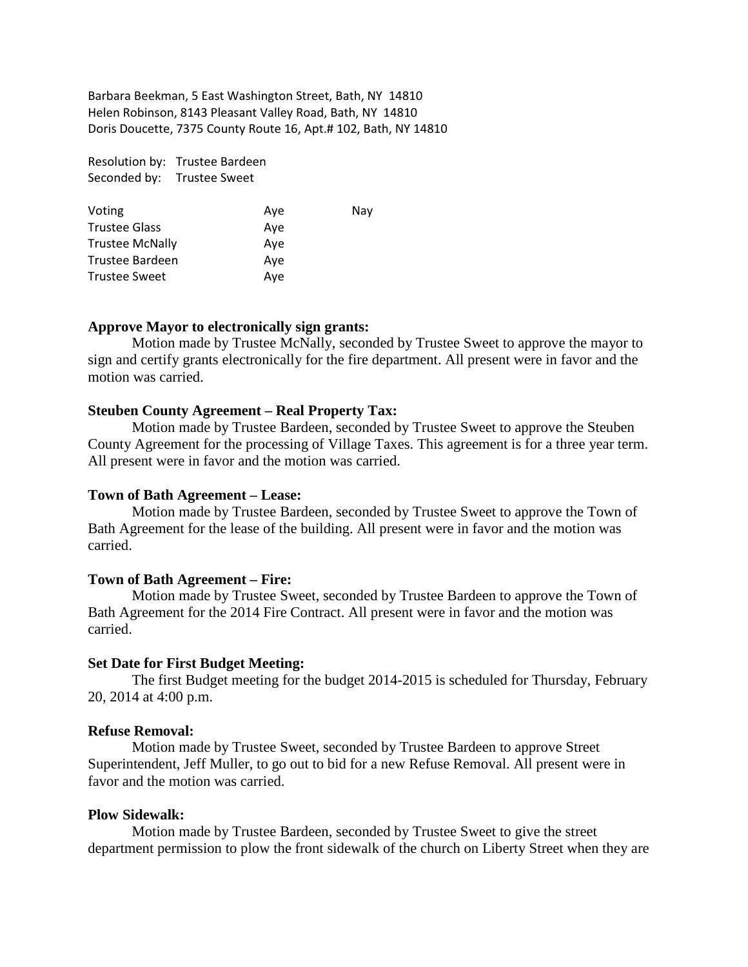Barbara Beekman, 5 East Washington Street, Bath, NY 14810 Helen Robinson, 8143 Pleasant Valley Road, Bath, NY 14810 Doris Doucette, 7375 County Route 16, Apt.# 102, Bath, NY 14810

|              | Resolution by: Trustee Bardeen |
|--------------|--------------------------------|
| Seconded by: | <b>Trustee Sweet</b>           |

| Voting                 | Ave | Nav |
|------------------------|-----|-----|
| <b>Trustee Glass</b>   | Ave |     |
| <b>Trustee McNally</b> | Ave |     |
| Trustee Bardeen        | Ave |     |
| <b>Trustee Sweet</b>   | Ave |     |

### **Approve Mayor to electronically sign grants:**

Motion made by Trustee McNally, seconded by Trustee Sweet to approve the mayor to sign and certify grants electronically for the fire department. All present were in favor and the motion was carried.

### **Steuben County Agreement – Real Property Tax:**

Motion made by Trustee Bardeen, seconded by Trustee Sweet to approve the Steuben County Agreement for the processing of Village Taxes. This agreement is for a three year term. All present were in favor and the motion was carried.

#### **Town of Bath Agreement – Lease:**

 Motion made by Trustee Bardeen, seconded by Trustee Sweet to approve the Town of Bath Agreement for the lease of the building. All present were in favor and the motion was carried.

### **Town of Bath Agreement – Fire:**

 Motion made by Trustee Sweet, seconded by Trustee Bardeen to approve the Town of Bath Agreement for the 2014 Fire Contract. All present were in favor and the motion was carried.

#### **Set Date for First Budget Meeting:**

 The first Budget meeting for the budget 2014-2015 is scheduled for Thursday, February 20, 2014 at 4:00 p.m.

### **Refuse Removal:**

Motion made by Trustee Sweet, seconded by Trustee Bardeen to approve Street Superintendent, Jeff Muller, to go out to bid for a new Refuse Removal. All present were in favor and the motion was carried.

#### **Plow Sidewalk:**

 Motion made by Trustee Bardeen, seconded by Trustee Sweet to give the street department permission to plow the front sidewalk of the church on Liberty Street when they are